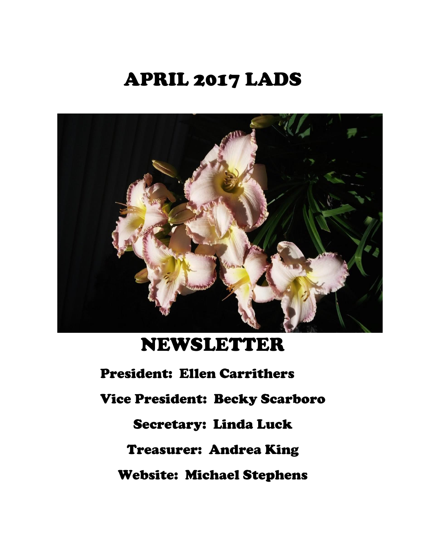# APRIL 2017 LADS



## NEWSLETTER

President: Ellen Carrithers Vice President: Becky Scarboro Secretary: Linda Luck Treasurer: Andrea King Website: Michael Stephens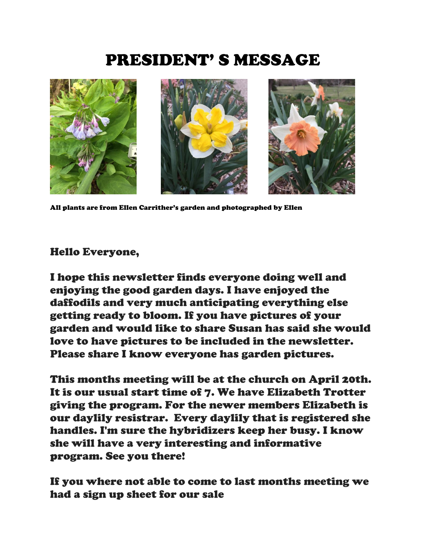## PRESIDENT' S MESSAGE



All plants are from Ellen Carrither's garden and photographed by Ellen

#### Hello Everyone,

I hope this newsletter finds everyone doing well and enjoying the good garden days. I have enjoyed the daffodils and very much anticipating everything else getting ready to bloom. If you have pictures of your garden and would like to share Susan has said she would love to have pictures to be included in the newsletter. Please share I know everyone has garden pictures.

This months meeting will be at the church on April 20th. It is our usual start time of 7. We have Elizabeth Trotter giving the program. For the newer members Elizabeth is our daylily resistrar. Every daylily that is registered she handles. I'm sure the hybridizers keep her busy. I know she will have a very interesting and informative program. See you there!

If you where not able to come to last months meeting we had a sign up sheet for our sale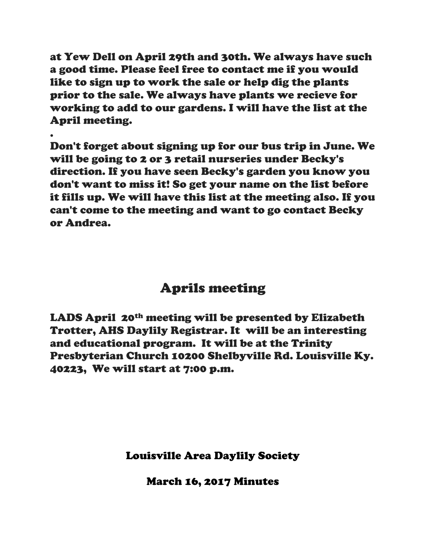at Yew Dell on April 29th and 30th. We always have such a good time. Please feel free to contact me if you would like to sign up to work the sale or help dig the plants prior to the sale. We always have plants we recieve for working to add to our gardens. I will have the list at the April meeting.

.

Don't forget about signing up for our bus trip in June. We will be going to 2 or 3 retail nurseries under Becky's direction. If you have seen Becky's garden you know you don't want to miss it! So get your name on the list before it fills up. We will have this list at the meeting also. If you can't come to the meeting and want to go contact Becky or Andrea.

### Aprils meeting

LADS April 20<sup>th</sup> meeting will be presented by Elizabeth Trotter, AHS Daylily Registrar. It will be an interesting and educational program. It will be at the Trinity Presbyterian Church 10200 Shelbyville Rd. Louisville Ky. 40223, We will start at 7:00 p.m.

Louisville Area Daylily Society

March 16, 2017 Minutes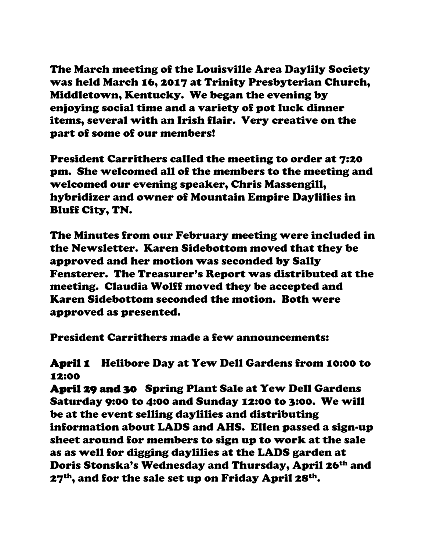The March meeting of the Louisville Area Daylily Society was held March 16, 2017 at Trinity Presbyterian Church, Middletown, Kentucky. We began the evening by enjoying social time and a variety of pot luck dinner items, several with an Irish flair. Very creative on the part of some of our members!

President Carrithers called the meeting to order at 7:20 pm. She welcomed all of the members to the meeting and welcomed our evening speaker, Chris Massengill, hybridizer and owner of Mountain Empire Daylilies in Bluff City, TN.

The Minutes from our February meeting were included in the Newsletter. Karen Sidebottom moved that they be approved and her motion was seconded by Sally Fensterer. The Treasurer's Report was distributed at the meeting. Claudia Wolff moved they be accepted and Karen Sidebottom seconded the motion. Both were approved as presented.

President Carrithers made a few announcements:

#### April 1 Helibore Day at Yew Dell Gardens from 10:00 to 12:00

April 29 and 30 Spring Plant Sale at Yew Dell Gardens Saturday 9:00 to 4:00 and Sunday 12:00 to 3:00. We will be at the event selling daylilies and distributing information about LADS and AHS. Ellen passed a sign-up sheet around for members to sign up to work at the sale as as well for digging daylilies at the LADS garden at Doris Stonska's Wednesday and Thursday, April 26th and 27<sup>th</sup>, and for the sale set up on Friday April 28<sup>th</sup>.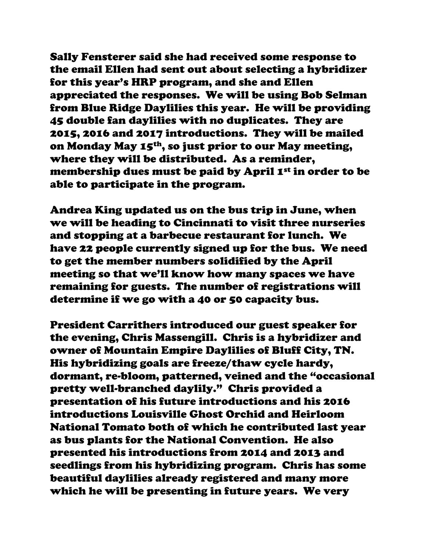Sally Fensterer said she had received some response to the email Ellen had sent out about selecting a hybridizer for this year's HRP program, and she and Ellen appreciated the responses. We will be using Bob Selman from Blue Ridge Daylilies this year. He will be providing 45 double fan daylilies with no duplicates. They are 2015, 2016 and 2017 introductions. They will be mailed on Monday May 15th, so just prior to our May meeting, where they will be distributed. As a reminder, membership dues must be paid by April 1<sup>st</sup> in order to be able to participate in the program.

Andrea King updated us on the bus trip in June, when we will be heading to Cincinnati to visit three nurseries and stopping at a barbecue restaurant for lunch. We have 22 people currently signed up for the bus. We need to get the member numbers solidified by the April meeting so that we'll know how many spaces we have remaining for guests. The number of registrations will determine if we go with a 40 or 50 capacity bus.

President Carrithers introduced our guest speaker for the evening, Chris Massengill. Chris is a hybridizer and owner of Mountain Empire Daylilies of Bluff City, TN. His hybridizing goals are freeze/thaw cycle hardy, dormant, re-bloom, patterned, veined and the "occasional pretty well-branched daylily." Chris provided a presentation of his future introductions and his 2016 introductions Louisville Ghost Orchid and Heirloom National Tomato both of which he contributed last year as bus plants for the National Convention. He also presented his introductions from 2014 and 2013 and seedlings from his hybridizing program. Chris has some beautiful daylilies already registered and many more which he will be presenting in future years. We very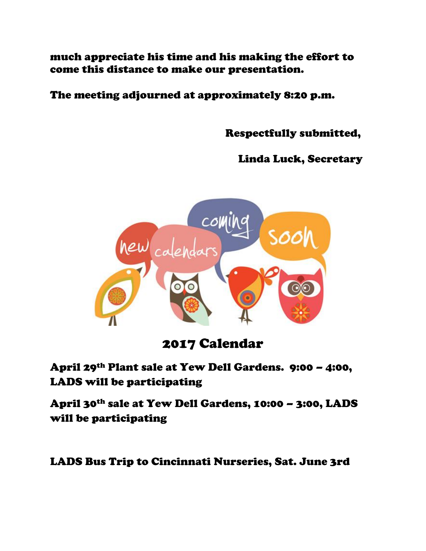much appreciate his time and his making the effort to come this distance to make our presentation.

The meeting adjourned at approximately 8:20 p.m.

Respectfully submitted,

Linda Luck, Secretary



### 2017 Calendar

April 29th Plant sale at Yew Dell Gardens. 9:00 – 4:00, LADS will be participating

April 30th sale at Yew Dell Gardens, 10:00 – 3:00, LADS will be participating

LADS Bus Trip to Cincinnati Nurseries, Sat. June 3rd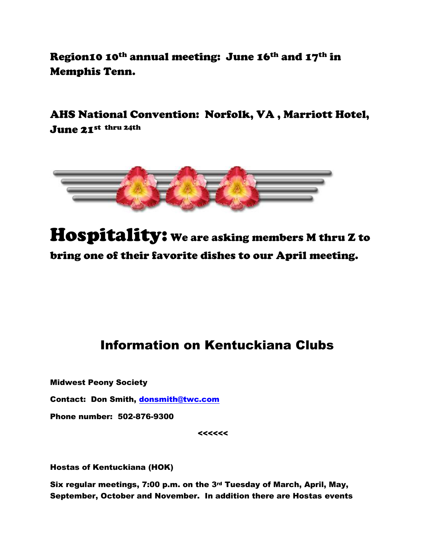Region10 10th annual meeting: June 16th and 17th in Memphis Tenn.

AHS National Convention: Norfolk, VA , Marriott Hotel, June 21st thru 24th



Hospitality: We are asking members M thru Z to bring one of their favorite dishes to our April meeting.

#### Information on Kentuckiana Clubs

Midwest Peony Society

Contact: Don Smith, [donsmith@twc.com](mailto:donsmith@twc.com)

Phone number: 502-876-9300

<<<<<<

Hostas of Kentuckiana (HOK)

Six regular meetings, 7:00 p.m. on the 3rd Tuesday of March, April, May, September, October and November. In addition there are Hostas events